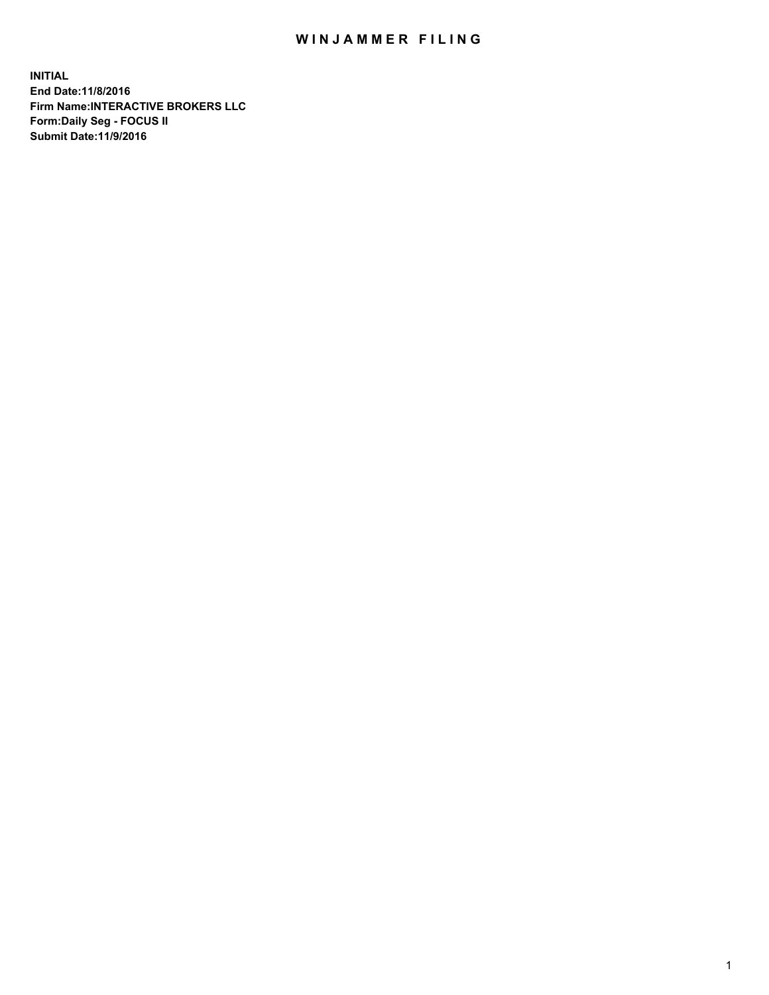## WIN JAMMER FILING

**INITIAL End Date:11/8/2016 Firm Name:INTERACTIVE BROKERS LLC Form:Daily Seg - FOCUS II Submit Date:11/9/2016**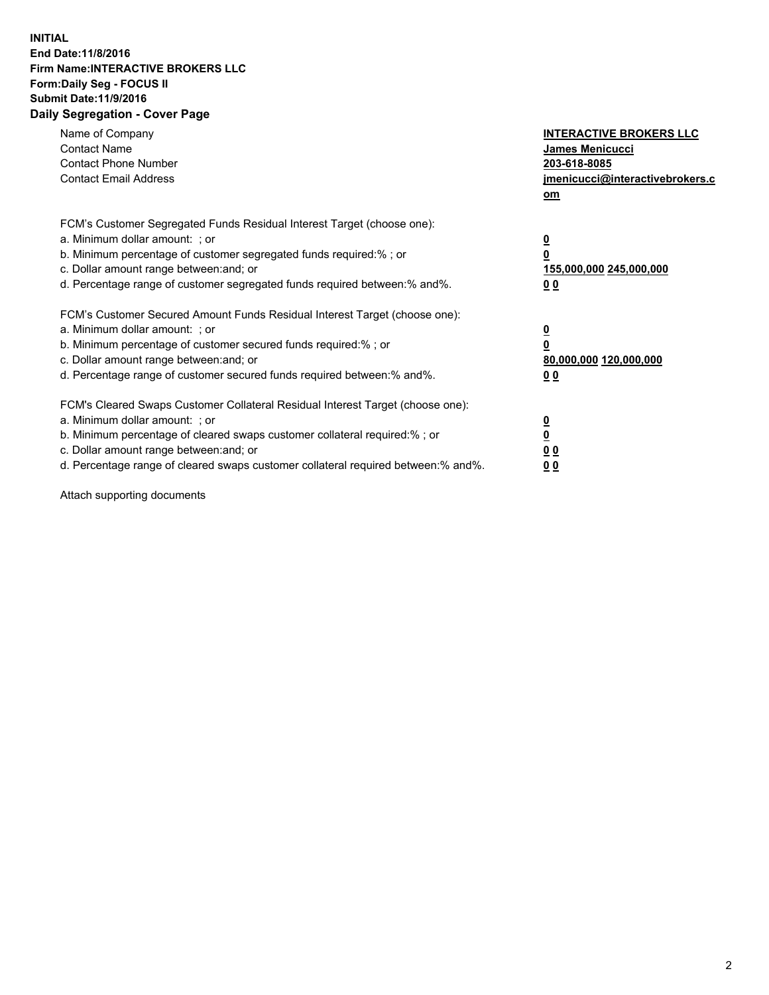## **INITIAL End Date:11/8/2016 Firm Name:INTERACTIVE BROKERS LLC Form:Daily Seg - FOCUS II Submit Date:11/9/2016 Daily Segregation - Cover Page**

| Name of Company<br><b>Contact Name</b><br><b>Contact Phone Number</b><br><b>Contact Email Address</b>                                                                                                                                                                                                                          | <b>INTERACTIVE BROKERS LLC</b><br>James Menicucci<br>203-618-8085<br>jmenicucci@interactivebrokers.c<br>om |
|--------------------------------------------------------------------------------------------------------------------------------------------------------------------------------------------------------------------------------------------------------------------------------------------------------------------------------|------------------------------------------------------------------------------------------------------------|
| FCM's Customer Segregated Funds Residual Interest Target (choose one):<br>a. Minimum dollar amount: ; or<br>b. Minimum percentage of customer segregated funds required:%; or<br>c. Dollar amount range between: and; or<br>d. Percentage range of customer segregated funds required between:% and%.                          | $\overline{\mathbf{0}}$<br>0<br>155,000,000 245,000,000<br>0 <sub>0</sub>                                  |
| FCM's Customer Secured Amount Funds Residual Interest Target (choose one):<br>a. Minimum dollar amount: ; or<br>b. Minimum percentage of customer secured funds required:%; or<br>c. Dollar amount range between: and; or<br>d. Percentage range of customer secured funds required between:% and%.                            | $\overline{\mathbf{0}}$<br>$\overline{\mathbf{0}}$<br>80,000,000 120,000,000<br>00                         |
| FCM's Cleared Swaps Customer Collateral Residual Interest Target (choose one):<br>a. Minimum dollar amount: ; or<br>b. Minimum percentage of cleared swaps customer collateral required:% ; or<br>c. Dollar amount range between: and; or<br>d. Percentage range of cleared swaps customer collateral required between:% and%. | $\overline{\mathbf{0}}$<br>$\overline{\mathbf{0}}$<br>0 <sub>0</sub><br><u>00</u>                          |

Attach supporting documents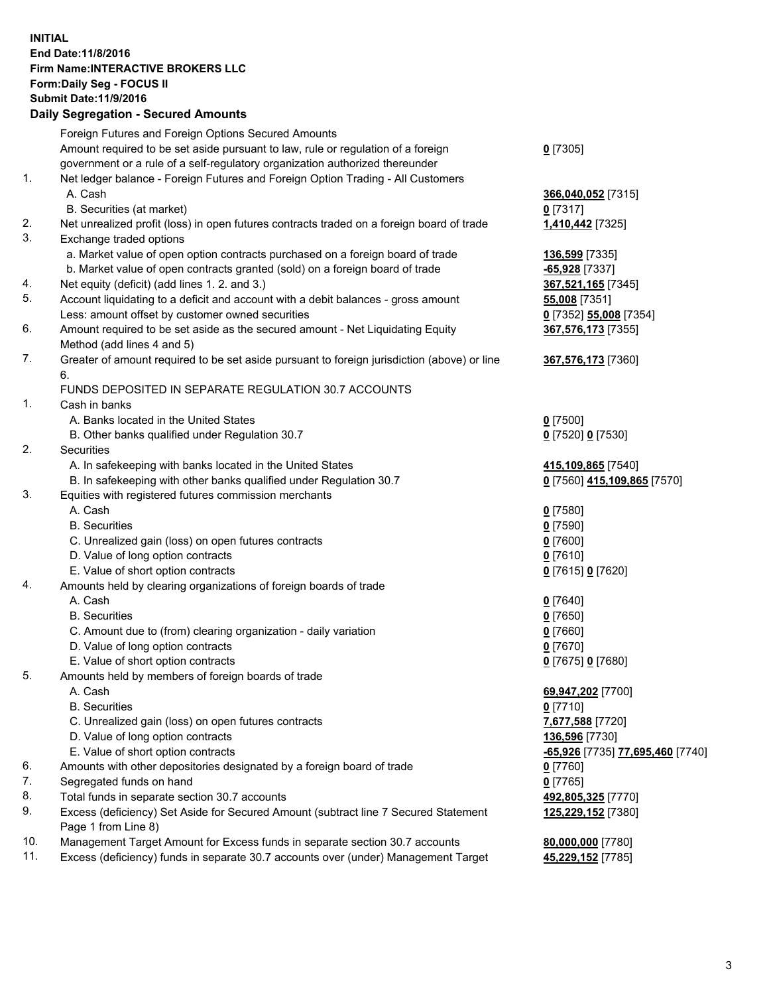## **INITIAL End Date:11/8/2016 Firm Name:INTERACTIVE BROKERS LLC Form:Daily Seg - FOCUS II Submit Date:11/9/2016 Daily Segregation - Secured Amounts**

|     | Daily Jegregation - Jeculed Aniounts                                                                       |                                  |
|-----|------------------------------------------------------------------------------------------------------------|----------------------------------|
|     | Foreign Futures and Foreign Options Secured Amounts                                                        |                                  |
|     | Amount required to be set aside pursuant to law, rule or regulation of a foreign                           | $0$ [7305]                       |
|     | government or a rule of a self-regulatory organization authorized thereunder                               |                                  |
| 1.  | Net ledger balance - Foreign Futures and Foreign Option Trading - All Customers                            |                                  |
|     | A. Cash                                                                                                    | 366,040,052 [7315]               |
|     | B. Securities (at market)                                                                                  | $0$ [7317]                       |
| 2.  | Net unrealized profit (loss) in open futures contracts traded on a foreign board of trade                  | 1,410,442 [7325]                 |
| 3.  | Exchange traded options                                                                                    |                                  |
|     | a. Market value of open option contracts purchased on a foreign board of trade                             | 136,599 [7335]                   |
|     | b. Market value of open contracts granted (sold) on a foreign board of trade                               | $-65,928$ [7337]                 |
| 4.  | Net equity (deficit) (add lines 1. 2. and 3.)                                                              | 367,521,165 [7345]               |
| 5.  | Account liquidating to a deficit and account with a debit balances - gross amount                          | 55,008 [7351]                    |
|     | Less: amount offset by customer owned securities                                                           | 0 [7352] 55,008 [7354]           |
| 6.  | Amount required to be set aside as the secured amount - Net Liquidating Equity                             | 367,576,173 [7355]               |
|     | Method (add lines 4 and 5)                                                                                 |                                  |
| 7.  | Greater of amount required to be set aside pursuant to foreign jurisdiction (above) or line                | 367,576,173 [7360]               |
|     | 6.                                                                                                         |                                  |
|     | FUNDS DEPOSITED IN SEPARATE REGULATION 30.7 ACCOUNTS                                                       |                                  |
| 1.  | Cash in banks                                                                                              |                                  |
|     | A. Banks located in the United States                                                                      | $0$ [7500]                       |
|     | B. Other banks qualified under Regulation 30.7                                                             | 0 [7520] 0 [7530]                |
| 2.  | Securities                                                                                                 |                                  |
|     | A. In safekeeping with banks located in the United States                                                  | 415,109,865 [7540]               |
|     | B. In safekeeping with other banks qualified under Regulation 30.7                                         | 0 [7560] 415,109,865 [7570]      |
| 3.  | Equities with registered futures commission merchants                                                      |                                  |
|     | A. Cash                                                                                                    | $0$ [7580]                       |
|     | <b>B.</b> Securities                                                                                       | $0$ [7590]                       |
|     | C. Unrealized gain (loss) on open futures contracts                                                        | $0$ [7600]                       |
|     | D. Value of long option contracts                                                                          | $0$ [7610]                       |
|     | E. Value of short option contracts                                                                         | 0 [7615] 0 [7620]                |
| 4.  | Amounts held by clearing organizations of foreign boards of trade                                          |                                  |
|     | A. Cash                                                                                                    | $0$ [7640]                       |
|     | <b>B.</b> Securities                                                                                       | $0$ [7650]                       |
|     | C. Amount due to (from) clearing organization - daily variation                                            | $0$ [7660]                       |
|     | D. Value of long option contracts                                                                          | $0$ [7670]                       |
|     | E. Value of short option contracts                                                                         | 0 [7675] 0 [7680]                |
| 5.  | Amounts held by members of foreign boards of trade                                                         |                                  |
|     | A. Cash                                                                                                    | 69,947,202 [7700]                |
|     | <b>B.</b> Securities                                                                                       | $0$ [7710]                       |
|     | C. Unrealized gain (loss) on open futures contracts                                                        | 7,677,588 [7720]                 |
|     | D. Value of long option contracts                                                                          | 136,596 [7730]                   |
|     | E. Value of short option contracts                                                                         | -65,926 [7735] 77,695,460 [7740] |
| 6.  | Amounts with other depositories designated by a foreign board of trade                                     | 0 [7760]                         |
| 7.  | Segregated funds on hand                                                                                   | $0$ [7765]                       |
| 8.  | Total funds in separate section 30.7 accounts                                                              | 492,805,325 [7770]               |
| 9.  | Excess (deficiency) Set Aside for Secured Amount (subtract line 7 Secured Statement<br>Page 1 from Line 8) | 125,229,152 [7380]               |
| 10. | Management Target Amount for Excess funds in separate section 30.7 accounts                                | 80,000,000 [7780]                |
| 11. | Excess (deficiency) funds in separate 30.7 accounts over (under) Management Target                         | 45,229,152 [7785]                |
|     |                                                                                                            |                                  |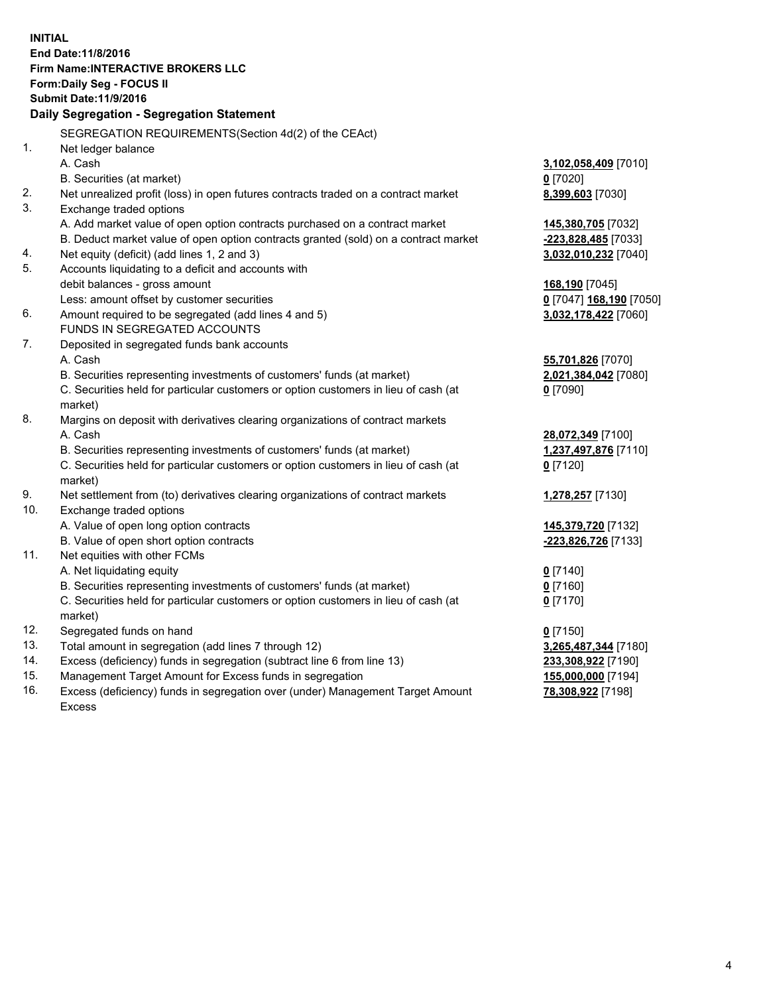**INITIAL End Date:11/8/2016 Firm Name:INTERACTIVE BROKERS LLC Form:Daily Seg - FOCUS II Submit Date:11/9/2016 Daily Segregation - Segregation Statement** SEGREGATION REQUIREMENTS(Section 4d(2) of the CEAct) 1. Net ledger balance A. Cash **3,102,058,409** [7010] B. Securities (at market) **0** [7020] 2. Net unrealized profit (loss) in open futures contracts traded on a contract market **8,399,603** [7030] 3. Exchange traded options A. Add market value of open option contracts purchased on a contract market **145,380,705** [7032] B. Deduct market value of open option contracts granted (sold) on a contract market **-223,828,485** [7033] 4. Net equity (deficit) (add lines 1, 2 and 3) **3,032,010,232** [7040] 5. Accounts liquidating to a deficit and accounts with debit balances - gross amount **168,190** [7045] Less: amount offset by customer securities **0** [7047] **168,190** [7050] 6. Amount required to be segregated (add lines 4 and 5) **3,032,178,422** [7060] FUNDS IN SEGREGATED ACCOUNTS 7. Deposited in segregated funds bank accounts A. Cash **55,701,826** [7070] B. Securities representing investments of customers' funds (at market) **2,021,384,042** [7080] C. Securities held for particular customers or option customers in lieu of cash (at market) **0** [7090] 8. Margins on deposit with derivatives clearing organizations of contract markets A. Cash **28,072,349** [7100] B. Securities representing investments of customers' funds (at market) **1,237,497,876** [7110] C. Securities held for particular customers or option customers in lieu of cash (at market) **0** [7120] 9. Net settlement from (to) derivatives clearing organizations of contract markets **1,278,257** [7130] 10. Exchange traded options A. Value of open long option contracts **145,379,720** [7132] B. Value of open short option contracts **-223,826,726** [7133] 11. Net equities with other FCMs A. Net liquidating equity **0** [7140] B. Securities representing investments of customers' funds (at market) **0** [7160] C. Securities held for particular customers or option customers in lieu of cash (at market) **0** [7170] 12. Segregated funds on hand **0** [7150] 13. Total amount in segregation (add lines 7 through 12) **3,265,487,344** [7180] 14. Excess (deficiency) funds in segregation (subtract line 6 from line 13) **233,308,922** [7190] 15. Management Target Amount for Excess funds in segregation **155,000,000** [7194] **78,308,922** [7198]

16. Excess (deficiency) funds in segregation over (under) Management Target Amount Excess